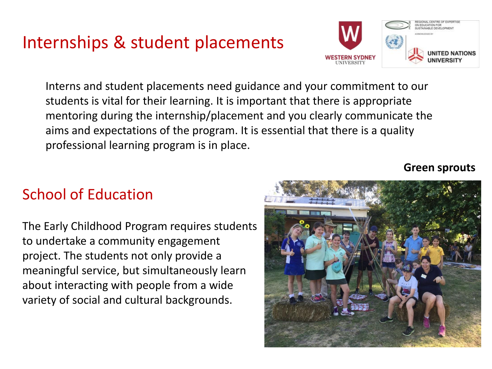# Internships & student placements

Interns and student placements need guidance and your commitment to our students is vital for their learning. It is important that there is appropriate mentoring during the internship/placement and you clearly communicate the aims and expectations of the program. It is essential that there is a quality professional learning program is in place.

## School of Education

The Early Childhood Program requires students to undertake a community engagement project. The students not only provide a meaningful service, but simultaneously learn about interacting with people from a wide variety of social and cultural backgrounds.

#### **Green sprouts**



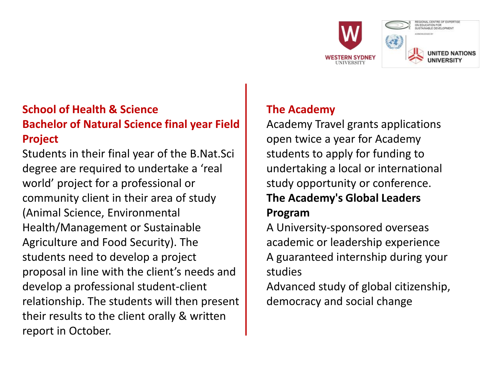

#### **School of Health & Science Bachelor of Natural Science final year Field Project**

Students in their final year of the B.Nat.Sci degree are required to undertake a 'real world' project for a professional or community client in their area of study (Animal Science, Environmental Health/Management or Sustainable Agriculture and Food Security). The students need to develop a project proposal in line with the client's needs and develop a professional student-client relationship. The students will then present their results to the client orally & written report in October.

#### **The Academy**

Academy Travel grants applications open twice a year for Academy students to apply for funding to undertaking a local or international study opportunity or conference. **The Academy's Global Leaders Program**

A University-sponsored overseas academic or leadership experience A guaranteed internship during your studies

Advanced study of global citizenship, democracy and social change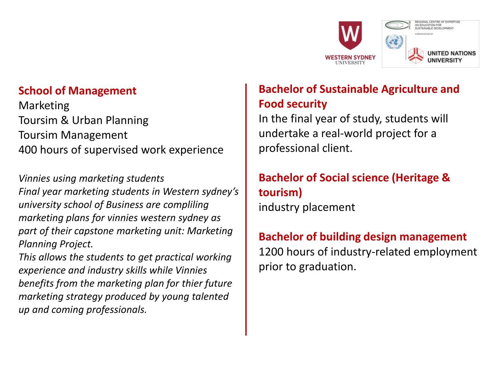

#### **School of Management**

Marketing Toursim & Urban Planning Toursim Management 400 hours of supervised work experience

*Vinnies using marketing students Final year marketing students in Western sydney's university school of Business are compliling marketing plans for vinnies western sydney as part of their capstone marketing unit: Marketing Planning Project.* 

*This allows the students to get practical working experience and industry skills while Vinnies benefits from the marketing plan for thier future marketing strategy produced by young talented up and coming professionals.*

### **Bachelor of Sustainable Agriculture and Food security**

In the final year of study, students will undertake a real-world project for a professional client.

## **Bachelor of Social science (Heritage & tourism)** industry placement

#### **Bachelor of building design management** 1200 hours of industry-related employment prior to graduation.